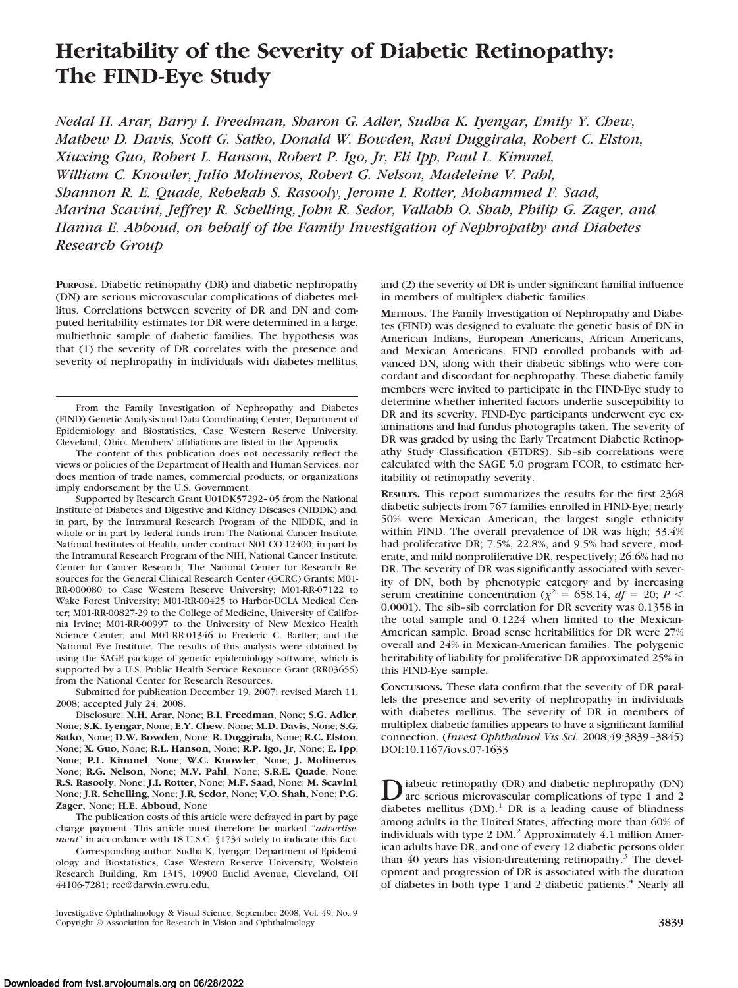# **Heritability of the Severity of Diabetic Retinopathy: The FIND-Eye Study**

*Nedal H. Arar, Barry I. Freedman, Sharon G. Adler, Sudha K. Iyengar, Emily Y. Chew, Mathew D. Davis, Scott G. Satko, Donald W. Bowden, Ravi Duggirala, Robert C. Elston, Xiuxing Guo, Robert L. Hanson, Robert P. Igo, Jr, Eli Ipp, Paul L. Kimmel, William C. Knowler, Julio Molineros, Robert G. Nelson, Madeleine V. Pahl, Shannon R. E. Quade, Rebekah S. Rasooly, Jerome I. Rotter, Mohammed F. Saad, Marina Scavini, Jeffrey R. Schelling, John R. Sedor, Vallabh O. Shah, Philip G. Zager, and Hanna E. Abboud, on behalf of the Family Investigation of Nephropathy and Diabetes Research Group*

**PURPOSE.** Diabetic retinopathy (DR) and diabetic nephropathy (DN) are serious microvascular complications of diabetes mellitus. Correlations between severity of DR and DN and computed heritability estimates for DR were determined in a large, multiethnic sample of diabetic families. The hypothesis was that (1) the severity of DR correlates with the presence and severity of nephropathy in individuals with diabetes mellitus,

From the Family Investigation of Nephropathy and Diabetes (FIND) Genetic Analysis and Data Coordinating Center, Department of Epidemiology and Biostatistics, Case Western Reserve University, Cleveland, Ohio. Members' affiliations are listed in the Appendix.

The content of this publication does not necessarily reflect the views or policies of the Department of Health and Human Services, nor does mention of trade names, commercial products, or organizations imply endorsement by the U.S. Government.

Supported by Research Grant U01DK57292– 05 from the National Institute of Diabetes and Digestive and Kidney Diseases (NIDDK) and, in part, by the Intramural Research Program of the NIDDK, and in whole or in part by federal funds from The National Cancer Institute, National Institutes of Health, under contract N01-CO-12400; in part by the Intramural Research Program of the NIH, National Cancer Institute, Center for Cancer Research; The National Center for Research Resources for the General Clinical Research Center (GCRC) Grants: M01- RR-000080 to Case Western Reserve University; M01-RR-07122 to Wake Forest University; M01-RR-00425 to Harbor-UCLA Medical Center; M01-RR-00827-29 to the College of Medicine, University of California Irvine; M01-RR-00997 to the University of New Mexico Health Science Center; and M01-RR-01346 to Frederic C. Bartter; and the National Eye Institute. The results of this analysis were obtained by using the SAGE package of genetic epidemiology software, which is supported by a U.S. Public Health Service Resource Grant (RR03655) from the National Center for Research Resources.

Submitted for publication December 19, 2007; revised March 11, 2008; accepted July 24, 2008.

Disclosure: **N.H. Arar**, None; **B.I. Freedman**, None; **S.G. Adler**, None; **S.K. Iyengar**, None; **E.Y. Chew**, None; **M.D. Davis**, None; **S.G. Satko**, None; **D.W. Bowden**, None; **R. Duggirala**, None; **R.C. Elston**, None; **X. Guo**, None; **R.L. Hanson**, None; **R.P. Igo, Jr**, None; **E. Ipp**, None; **P.L. Kimmel**, None; **W.C. Knowler**, None; **J. Molineros**, None; **R.G. Nelson**, None; **M.V. Pahl**, None; **S.R.E. Quade**, None; **R.S. Rasooly**, None; **J.I. Rotter**, None; **M.F. Saad**, None; **M. Scavini**, None; **J.R. Schelling**, None; **J.R. Sedor,** None; **V.O. Shah,** None; **P.G. Zager,** None; **H.E. Abboud,** None

The publication costs of this article were defrayed in part by page charge payment. This article must therefore be marked "*advertisement*" in accordance with 18 U.S.C. §1734 solely to indicate this fact.

Corresponding author: Sudha K. Iyengar, Department of Epidemiology and Biostatistics, Case Western Reserve University, Wolstein Research Building, Rm 1315, 10900 Euclid Avenue, Cleveland, OH 44106-7281; rce@darwin.cwru.edu.

Investigative Ophthalmology & Visual Science, September 2008, Vol. 49, No. 9 Copyright © Association for Research in Vision and Ophthalmology **3839**

and (2) the severity of DR is under significant familial influence in members of multiplex diabetic families.

**METHODS.** The Family Investigation of Nephropathy and Diabetes (FIND) was designed to evaluate the genetic basis of DN in American Indians, European Americans, African Americans, and Mexican Americans. FIND enrolled probands with advanced DN, along with their diabetic siblings who were concordant and discordant for nephropathy. These diabetic family members were invited to participate in the FIND-Eye study to determine whether inherited factors underlie susceptibility to DR and its severity. FIND-Eye participants underwent eye examinations and had fundus photographs taken. The severity of DR was graded by using the Early Treatment Diabetic Retinopathy Study Classification (ETDRS). Sib–sib correlations were calculated with the SAGE 5.0 program FCOR, to estimate heritability of retinopathy severity.

**RESULTS.** This report summarizes the results for the first 2368 diabetic subjects from 767 families enrolled in FIND-Eye; nearly 50% were Mexican American, the largest single ethnicity within FIND. The overall prevalence of DR was high; 33.4% had proliferative DR; 7.5%, 22.8%, and 9.5% had severe, moderate, and mild nonproliferative DR, respectively; 26.6% had no DR. The severity of DR was significantly associated with severity of DN, both by phenotypic category and by increasing serum creatinine concentration ( $\chi^2$  = 658.14, *df* = 20; *P* < 0.0001). The sib–sib correlation for DR severity was 0.1358 in the total sample and 0.1224 when limited to the Mexican-American sample. Broad sense heritabilities for DR were 27% overall and 24% in Mexican-American families. The polygenic heritability of liability for proliferative DR approximated 25% in this FIND-Eye sample.

**CONCLUSIONS.** These data confirm that the severity of DR parallels the presence and severity of nephropathy in individuals with diabetes mellitus. The severity of DR in members of multiplex diabetic families appears to have a significant familial connection. (*Invest Ophthalmol Vis Sci.* 2008;49:3839 –3845) DOI:10.1167/iovs.07-1633

Diabetic retinopathy (DR) and diabetic nephropathy (DN)<br>are serious microvascular complications of type 1 and 2 diabetes mellitus  $(DM)$ .<sup>1</sup> DR is a leading cause of blindness among adults in the United States, affecting more than 60% of individuals with type 2 DM. $<sup>2</sup>$  Approximately 4.1 million Amer-</sup> ican adults have DR, and one of every 12 diabetic persons older than 40 years has vision-threatening retinopathy.<sup>3</sup> The development and progression of DR is associated with the duration of diabetes in both type 1 and 2 diabetic patients.<sup>4</sup> Nearly all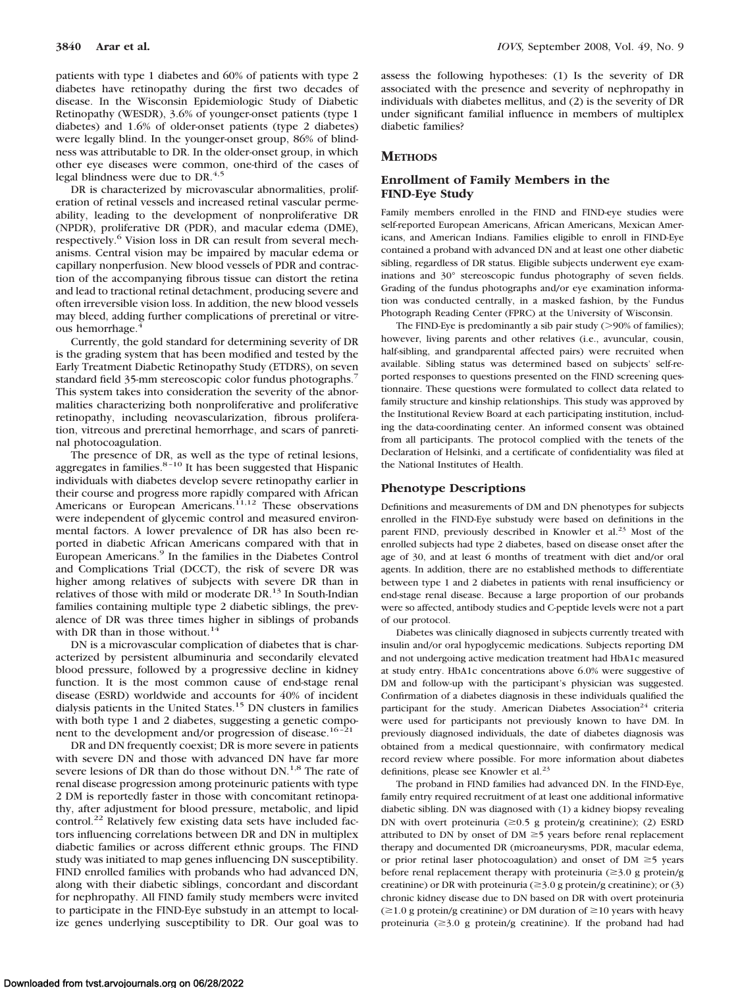patients with type 1 diabetes and 60% of patients with type 2 diabetes have retinopathy during the first two decades of disease. In the Wisconsin Epidemiologic Study of Diabetic Retinopathy (WESDR), 3.6% of younger-onset patients (type 1 diabetes) and 1.6% of older-onset patients (type 2 diabetes) were legally blind. In the younger-onset group, 86% of blindness was attributable to DR. In the older-onset group, in which other eye diseases were common, one-third of the cases of legal blindness were due to DR.<sup>4,5</sup>

DR is characterized by microvascular abnormalities, proliferation of retinal vessels and increased retinal vascular permeability, leading to the development of nonproliferative DR (NPDR), proliferative DR (PDR), and macular edema (DME), respectively.<sup>6</sup> Vision loss in DR can result from several mechanisms. Central vision may be impaired by macular edema or capillary nonperfusion. New blood vessels of PDR and contraction of the accompanying fibrous tissue can distort the retina and lead to tractional retinal detachment, producing severe and often irreversible vision loss. In addition, the new blood vessels may bleed, adding further complications of preretinal or vitreous hemorrhage.

Currently, the gold standard for determining severity of DR is the grading system that has been modified and tested by the Early Treatment Diabetic Retinopathy Study (ETDRS), on seven standard field 35-mm stereoscopic color fundus photographs.<sup>7</sup> This system takes into consideration the severity of the abnormalities characterizing both nonproliferative and proliferative retinopathy, including neovascularization, fibrous proliferation, vitreous and preretinal hemorrhage, and scars of panretinal photocoagulation.

The presence of DR, as well as the type of retinal lesions, aggregates in families.<sup>8-10</sup> It has been suggested that Hispanic individuals with diabetes develop severe retinopathy earlier in their course and progress more rapidly compared with African Americans or European Americans.<sup>11,12</sup> These observations were independent of glycemic control and measured environmental factors. A lower prevalence of DR has also been reported in diabetic African Americans compared with that in European Americans.<sup>9</sup> In the families in the Diabetes Control and Complications Trial (DCCT), the risk of severe DR was higher among relatives of subjects with severe DR than in relatives of those with mild or moderate DR.<sup>13</sup> In South-Indian families containing multiple type 2 diabetic siblings, the prevalence of DR was three times higher in siblings of probands with DR than in those without. $14$ 

DN is a microvascular complication of diabetes that is characterized by persistent albuminuria and secondarily elevated blood pressure, followed by a progressive decline in kidney function. It is the most common cause of end-stage renal disease (ESRD) worldwide and accounts for 40% of incident dialysis patients in the United States.15 DN clusters in families with both type 1 and 2 diabetes, suggesting a genetic component to the development and/or progression of disease.<sup>16-21</sup>

DR and DN frequently coexist; DR is more severe in patients with severe DN and those with advanced DN have far more severe lesions of DR than do those without DN.<sup>1,8</sup> The rate of renal disease progression among proteinuric patients with type 2 DM is reportedly faster in those with concomitant retinopathy, after adjustment for blood pressure, metabolic, and lipid control.<sup>22</sup> Relatively few existing data sets have included factors influencing correlations between DR and DN in multiplex diabetic families or across different ethnic groups. The FIND study was initiated to map genes influencing DN susceptibility. FIND enrolled families with probands who had advanced DN, along with their diabetic siblings, concordant and discordant for nephropathy. All FIND family study members were invited to participate in the FIND-Eye substudy in an attempt to localize genes underlying susceptibility to DR. Our goal was to assess the following hypotheses: (1) Is the severity of DR associated with the presence and severity of nephropathy in individuals with diabetes mellitus, and (2) is the severity of DR under significant familial influence in members of multiplex diabetic families?

### **METHODS**

# **Enrollment of Family Members in the FIND-Eye Study**

Family members enrolled in the FIND and FIND-eye studies were self-reported European Americans, African Americans, Mexican Americans, and American Indians. Families eligible to enroll in FIND-Eye contained a proband with advanced DN and at least one other diabetic sibling, regardless of DR status. Eligible subjects underwent eye examinations and 30° stereoscopic fundus photography of seven fields. Grading of the fundus photographs and/or eye examination information was conducted centrally, in a masked fashion, by the Fundus Photograph Reading Center (FPRC) at the University of Wisconsin.

The FIND-Eye is predominantly a sib pair study  $(>90\%$  of families); however, living parents and other relatives (i.e., avuncular, cousin, half-sibling, and grandparental affected pairs) were recruited when available. Sibling status was determined based on subjects' self-reported responses to questions presented on the FIND screening questionnaire. These questions were formulated to collect data related to family structure and kinship relationships. This study was approved by the Institutional Review Board at each participating institution, including the data-coordinating center. An informed consent was obtained from all participants. The protocol complied with the tenets of the Declaration of Helsinki, and a certificate of confidentiality was filed at the National Institutes of Health.

#### **Phenotype Descriptions**

Definitions and measurements of DM and DN phenotypes for subjects enrolled in the FIND-Eye substudy were based on definitions in the parent FIND, previously described in Knowler et al.<sup>23</sup> Most of the enrolled subjects had type 2 diabetes, based on disease onset after the age of 30, and at least 6 months of treatment with diet and/or oral agents. In addition, there are no established methods to differentiate between type 1 and 2 diabetes in patients with renal insufficiency or end-stage renal disease. Because a large proportion of our probands were so affected, antibody studies and C-peptide levels were not a part of our protocol.

Diabetes was clinically diagnosed in subjects currently treated with insulin and/or oral hypoglycemic medications. Subjects reporting DM and not undergoing active medication treatment had HbA1c measured at study entry. HbA1c concentrations above 6.0% were suggestive of DM and follow-up with the participant's physician was suggested. Confirmation of a diabetes diagnosis in these individuals qualified the participant for the study. American Diabetes Association<sup>24</sup> criteria were used for participants not previously known to have DM. In previously diagnosed individuals, the date of diabetes diagnosis was obtained from a medical questionnaire, with confirmatory medical record review where possible. For more information about diabetes definitions, please see Knowler et al.<sup>23</sup>

The proband in FIND families had advanced DN. In the FIND-Eye, family entry required recruitment of at least one additional informative diabetic sibling. DN was diagnosed with (1) a kidney biopsy revealing DN with overt proteinuria  $(\geq 0.5$  g protein/g creatinine); (2) ESRD attributed to DN by onset of  $DM \ge 5$  years before renal replacement therapy and documented DR (microaneurysms, PDR, macular edema, or prior retinal laser photocoagulation) and onset of  $DM \ge 5$  years before renal replacement therapy with proteinuria  $(\geq 3.0 \text{ g protein/g})$ creatinine) or DR with proteinuria  $(\geq 3.0 \text{ g protein/g creation})$ ; or (3) chronic kidney disease due to DN based on DR with overt proteinuria  $(\geq 1.0 \text{ g protein/g creation})$  or DM duration of  $\geq 10 \text{ years with heavy}$ proteinuria  $(\geq 3.0 \text{ g protein/g creation})$ . If the proband had had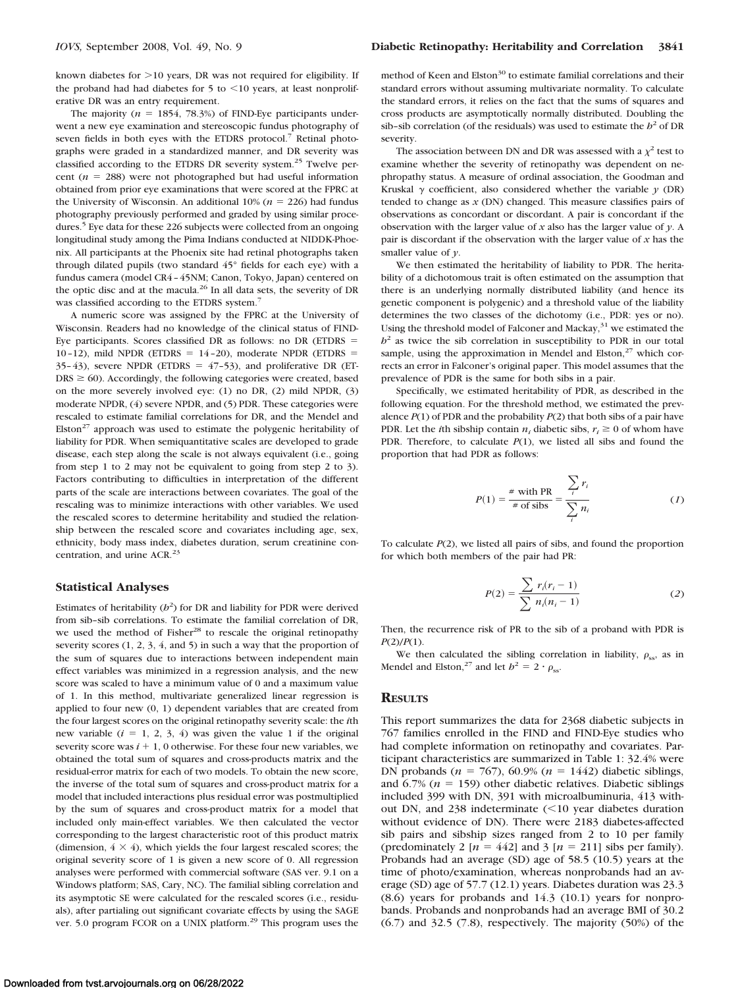known diabetes for  $>10$  years, DR was not required for eligibility. If the proband had had diabetes for  $5$  to  $\leq 10$  years, at least nonproliferative DR was an entry requirement.

The majority ( $n = 1854, 78.3%$ ) of FIND-Eye participants underwent a new eye examination and stereoscopic fundus photography of seven fields in both eyes with the ETDRS protocol.<sup>7</sup> Retinal photographs were graded in a standardized manner, and DR severity was classified according to the ETDRS DR severity system.<sup>25</sup> Twelve percent ( $n = 288$ ) were not photographed but had useful information obtained from prior eye examinations that were scored at the FPRC at the University of Wisconsin. An additional  $10\%$  ( $n = 226$ ) had fundus photography previously performed and graded by using similar procedures.<sup>5</sup> Eye data for these 226 subjects were collected from an ongoing longitudinal study among the Pima Indians conducted at NIDDK-Phoenix. All participants at the Phoenix site had retinal photographs taken through dilated pupils (two standard 45° fields for each eye) with a fundus camera (model CR4 – 45NM; Canon, Tokyo, Japan) centered on the optic disc and at the macula.<sup>26</sup> In all data sets, the severity of DR was classified according to the ETDRS system.7

A numeric score was assigned by the FPRC at the University of Wisconsin. Readers had no knowledge of the clinical status of FIND-Eye participants. Scores classified DR as follows: no DR (ETDRS 10-12), mild NPDR (ETDRS =  $14-20$ ), moderate NPDR (ETDRS =  $35-43$ ), severe NPDR (ETDRS =  $47-53$ ), and proliferative DR (ET- $DRS \geq 60$ ). Accordingly, the following categories were created, based on the more severely involved eye: (1) no DR, (2) mild NPDR, (3) moderate NPDR, (4) severe NPDR, and (5) PDR. These categories were rescaled to estimate familial correlations for DR, and the Mendel and  $Elston<sup>27</sup>$  approach was used to estimate the polygenic heritability of liability for PDR. When semiquantitative scales are developed to grade disease, each step along the scale is not always equivalent (i.e., going from step 1 to 2 may not be equivalent to going from step 2 to 3). Factors contributing to difficulties in interpretation of the different parts of the scale are interactions between covariates. The goal of the rescaling was to minimize interactions with other variables. We used the rescaled scores to determine heritability and studied the relationship between the rescaled score and covariates including age, sex, ethnicity, body mass index, diabetes duration, serum creatinine concentration, and urine ACR.<sup>23</sup>

### **Statistical Analyses**

Estimates of heritability  $(b^2)$  for DR and liability for PDR were derived from sib–sib correlations. To estimate the familial correlation of DR, we used the method of Fisher<sup>28</sup> to rescale the original retinopathy severity scores (1, 2, 3, 4, and 5) in such a way that the proportion of the sum of squares due to interactions between independent main effect variables was minimized in a regression analysis, and the new score was scaled to have a minimum value of 0 and a maximum value of 1. In this method, multivariate generalized linear regression is applied to four new (0, 1) dependent variables that are created from the four largest scores on the original retinopathy severity scale: the *i*th new variable  $(i = 1, 2, 3, 4)$  was given the value 1 if the original severity score was  $i + 1$ , 0 otherwise. For these four new variables, we obtained the total sum of squares and cross-products matrix and the residual-error matrix for each of two models. To obtain the new score, the inverse of the total sum of squares and cross-product matrix for a model that included interactions plus residual error was postmultiplied by the sum of squares and cross-product matrix for a model that included only main-effect variables. We then calculated the vector corresponding to the largest characteristic root of this product matrix (dimension,  $4 \times 4$ ), which yields the four largest rescaled scores; the original severity score of 1 is given a new score of 0. All regression analyses were performed with commercial software (SAS ver. 9.1 on a Windows platform; SAS, Cary, NC). The familial sibling correlation and its asymptotic SE were calculated for the rescaled scores (i.e., residuals), after partialing out significant covariate effects by using the SAGE ver. 5.0 program FCOR on a UNIX platform.<sup>29</sup> This program uses the

method of Keen and Elston<sup>30</sup> to estimate familial correlations and their standard errors without assuming multivariate normality. To calculate the standard errors, it relies on the fact that the sums of squares and cross products are asymptotically normally distributed. Doubling the sib-sib correlation (of the residuals) was used to estimate the  $h^2$  of DR severity.

The association between DN and DR was assessed with a  $\chi^2$  test to examine whether the severity of retinopathy was dependent on nephropathy status. A measure of ordinal association, the Goodman and Kruskal  $\gamma$  coefficient, also considered whether the variable  $y$  (DR) tended to change as *x* (DN) changed. This measure classifies pairs of observations as concordant or discordant. A pair is concordant if the observation with the larger value of  $x$  also has the larger value of  $y$ . A pair is discordant if the observation with the larger value of *x* has the smaller value of *y*.

We then estimated the heritability of liability to PDR. The heritability of a dichotomous trait is often estimated on the assumption that there is an underlying normally distributed liability (and hence its genetic component is polygenic) and a threshold value of the liability determines the two classes of the dichotomy (i.e., PDR: yes or no). Using the threshold model of Falconer and Mackay, $31$  we estimated the *h*<sup>2</sup> as twice the sib correlation in susceptibility to PDR in our total sample, using the approximation in Mendel and Elston, $27$  which corrects an error in Falconer's original paper. This model assumes that the prevalence of PDR is the same for both sibs in a pair.

Specifically, we estimated heritability of PDR, as described in the following equation. For the threshold method, we estimated the prevalence *P*(1) of PDR and the probability *P*(2) that both sibs of a pair have PDR. Let the *i*th sibship contain  $n_i$  diabetic sibs,  $r_i \geq 0$  of whom have PDR. Therefore, to calculate *P*(1), we listed all sibs and found the proportion that had PDR as follows:

$$
P(1) = \frac{\text{# with PR}}{\text{# of sibs}} = \frac{\sum_{i} r_i}{\sum_{i} n_i}
$$
 (1)

To calculate *P*(2), we listed all pairs of sibs, and found the proportion for which both members of the pair had PR:

$$
P(2) = \frac{\sum r_i(r_i - 1)}{\sum n_i(n_i - 1)}
$$
 (2)

Then, the recurrence risk of PR to the sib of a proband with PDR is *P*(2)/*P*(1).

We then calculated the sibling correlation in liability,  $\rho_{ss}$ , as in Mendel and Elston,<sup>27</sup> and let  $b^2 = 2 \cdot \rho_{\text{ss}}$ .

#### **RESULTS**

This report summarizes the data for 2368 diabetic subjects in 767 families enrolled in the FIND and FIND-Eye studies who had complete information on retinopathy and covariates. Participant characteristics are summarized in Table 1: 32.4% were DN probands ( $n = 767$ ), 60.9% ( $n = 1442$ ) diabetic siblings, and  $6.7\%$  ( $n = 159$ ) other diabetic relatives. Diabetic siblings included 399 with DN, 391 with microalbuminuria, 413 without DN, and  $238$  indeterminate (<10 year diabetes duration without evidence of DN). There were 2183 diabetes-affected sib pairs and sibship sizes ranged from 2 to 10 per family (predominately 2  $[n = 442]$  and 3  $[n = 211]$  sibs per family). Probands had an average (SD) age of 58.5 (10.5) years at the time of photo/examination, whereas nonprobands had an average (SD) age of 57.7 (12.1) years. Diabetes duration was 23.3 (8.6) years for probands and 14.3 (10.1) years for nonprobands. Probands and nonprobands had an average BMI of 30.2  $(6.7)$  and 32.5  $(7.8)$ , respectively. The majority  $(50%)$  of the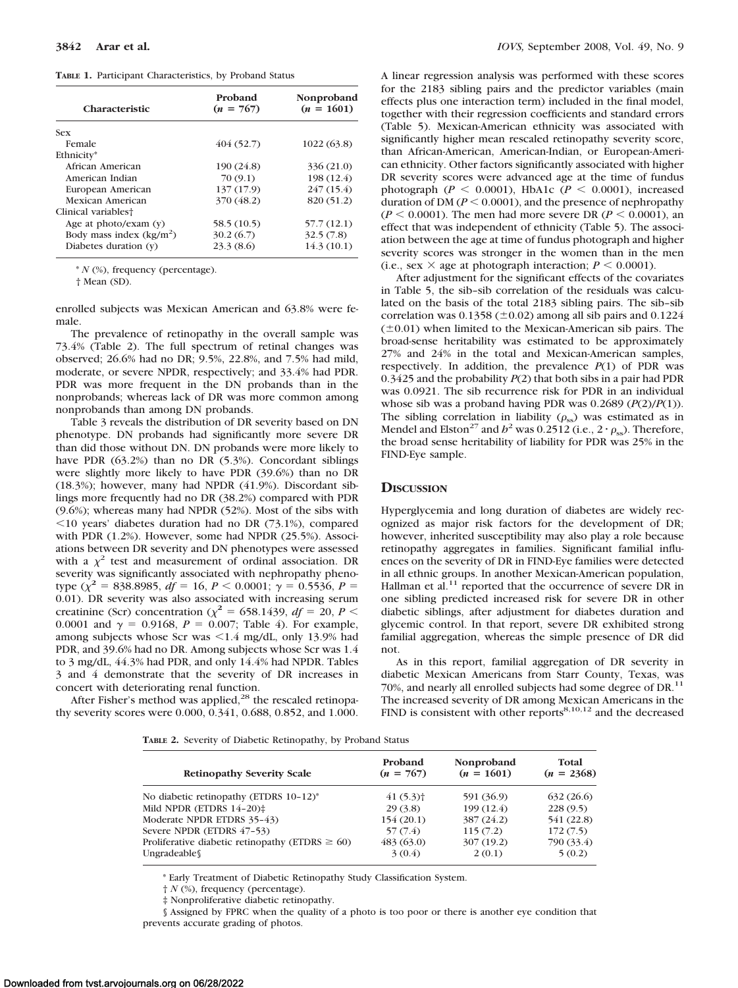**TABLE 1.** Participant Characteristics, by Proband Status

| <b>Characteristic</b>           | Proband<br>$(n = 767)$ | Nonproband<br>$(n = 1601)$ |
|---------------------------------|------------------------|----------------------------|
| <b>Sex</b>                      |                        |                            |
| Female                          | 404 (52.7)             | 1022 (63.8)                |
| Ethnicity*                      |                        |                            |
| African American                | 190 (24.8)             | 336 (21.0)                 |
| American Indian                 | 70 (9.1)               | 198 (12.4)                 |
| European American               | 137 (17.9)             | 247(15.4)                  |
| Mexican American                | 370 (48.2)             | 820 (51.2)                 |
| Clinical variables <sup>†</sup> |                        |                            |
| Age at $photo$ /exam $(y)$      | 58.5 (10.5)            | 57.7 (12.1)                |
| Body mass index $(kg/m2)$       | 30.2(6.7)              | 32.5(7.8)                  |
| Diabetes duration (v)           | 23.3(8.6)              | 14.3(10.1)                 |

\* *N* (%), frequency (percentage).

† Mean (SD).

enrolled subjects was Mexican American and 63.8% were female.

The prevalence of retinopathy in the overall sample was 73.4% (Table 2). The full spectrum of retinal changes was observed; 26.6% had no DR; 9.5%, 22.8%, and 7.5% had mild, moderate, or severe NPDR, respectively; and 33.4% had PDR. PDR was more frequent in the DN probands than in the nonprobands; whereas lack of DR was more common among nonprobands than among DN probands.

Table 3 reveals the distribution of DR severity based on DN phenotype. DN probands had significantly more severe DR than did those without DN. DN probands were more likely to have PDR (63.2%) than no DR (5.3%). Concordant siblings were slightly more likely to have PDR (39.6%) than no DR (18.3%); however, many had NPDR (41.9%). Discordant siblings more frequently had no DR (38.2%) compared with PDR (9.6%); whereas many had NPDR (52%). Most of the sibs with -10 years' diabetes duration had no DR (73.1%), compared with PDR (1.2%). However, some had NPDR (25.5%). Associations between DR severity and DN phenotypes were assessed with a  $\chi^2$  test and measurement of ordinal association. DR severity was significantly associated with nephropathy phenotype  $(\chi^2 = 838.8985, df = 16, P < 0.0001; \gamma = 0.5536, P =$ 0.01). DR severity was also associated with increasing serum creatinine (Scr) concentration ( $\chi^2$  = 658.1439, *df* = 20, *P* < 0.0001 and  $\gamma = 0.9168$ ,  $P = 0.007$ ; Table 4). For example, among subjects whose Scr was  $\leq 1.4$  mg/dL, only 13.9% had PDR, and 39.6% had no DR. Among subjects whose Scr was 1.4 to 3 mg/dL, 44.3% had PDR, and only 14.4% had NPDR. Tables 3 and 4 demonstrate that the severity of DR increases in concert with deteriorating renal function.

After Fisher's method was applied, $28$  the rescaled retinopathy severity scores were 0.000, 0.341, 0.688, 0.852, and 1.000.

A linear regression analysis was performed with these scores for the 2183 sibling pairs and the predictor variables (main effects plus one interaction term) included in the final model, together with their regression coefficients and standard errors (Table 5). Mexican-American ethnicity was associated with significantly higher mean rescaled retinopathy severity score, than African-American, American-Indian, or European-American ethnicity. Other factors significantly associated with higher DR severity scores were advanced age at the time of fundus photograph ( $P \le 0.0001$ ), HbA1c ( $P \le 0.0001$ ), increased duration of DM  $(P < 0.0001)$ , and the presence of nephropathy  $(P \le 0.0001)$ . The men had more severe DR ( $P \le 0.0001$ ), an effect that was independent of ethnicity (Table 5). The association between the age at time of fundus photograph and higher severity scores was stronger in the women than in the men (i.e., sex  $\times$  age at photograph interaction;  $P \le 0.0001$ ).

After adjustment for the significant effects of the covariates in Table 5, the sib–sib correlation of the residuals was calculated on the basis of the total 2183 sibling pairs. The sib–sib correlation was  $0.1358 \, (\pm 0.02)$  among all sib pairs and  $0.1224$  $(\pm 0.01)$  when limited to the Mexican-American sib pairs. The broad-sense heritability was estimated to be approximately 27% and 24% in the total and Mexican-American samples, respectively. In addition, the prevalence *P*(1) of PDR was 0.3425 and the probability  $P(2)$  that both sibs in a pair had PDR was 0.0921. The sib recurrence risk for PDR in an individual whose sib was a proband having PDR was 0.2689 (*P*(2)/*P*(1)). The sibling correlation in liability  $(\rho_{ss})$  was estimated as in Mendel and Elston<sup>27</sup> and  $b^2$  was 0.2512 (i.e.,  $2 \cdot \rho_{ss}$ ). Therefore, the broad sense heritability of liability for PDR was 25% in the FIND-Eye sample.

# **DISCUSSION**

Hyperglycemia and long duration of diabetes are widely recognized as major risk factors for the development of DR; however, inherited susceptibility may also play a role because retinopathy aggregates in families. Significant familial influences on the severity of DR in FIND-Eye families were detected in all ethnic groups. In another Mexican-American population, Hallman et al.<sup>11</sup> reported that the occurrence of severe DR in one sibling predicted increased risk for severe DR in other diabetic siblings, after adjustment for diabetes duration and glycemic control. In that report, severe DR exhibited strong familial aggregation, whereas the simple presence of DR did not.

As in this report, familial aggregation of DR severity in diabetic Mexican Americans from Starr County, Texas, was 70%, and nearly all enrolled subjects had some degree of DR.<sup>11</sup> The increased severity of DR among Mexican Americans in the FIND is consistent with other reports $8,10,12$  and the decreased

**TABLE 2.** Severity of Diabetic Retinopathy, by Proband Status

| <b>Retinopathy Severity Scale</b>                    | Proband<br>$(n = 767)$ | Nonproband<br>$(n = 1601)$ | Total<br>$(n = 2368)$ |
|------------------------------------------------------|------------------------|----------------------------|-----------------------|
| No diabetic retinopathy (ETDRS 10-12) <sup>*</sup>   | $41(5.3)$ <sup>+</sup> | 591 (36.9)                 | 632(26.6)             |
| Mild NPDR (ETDRS 14-20)‡                             | 29(3.8)                | 199(12.4)                  | 228(9.5)              |
| Moderate NPDR ETDRS 35-43)                           | 154(20.1)              | 387(24.2)                  | 541 (22.8)            |
| Severe NPDR (ETDRS 47-53)                            | 57(7.4)                | 115(7.2)                   | 172(7.5)              |
| Proliferative diabetic retinopathy (ETDRS $\geq$ 60) | 483(63.0)              | 307(19.2)                  | 790 (33.4)            |
| Ungradeable¶                                         | 3(0.4)                 | 2(0.1)                     | 5(0.2)                |
|                                                      |                        |                            |                       |

\* Early Treatment of Diabetic Retinopathy Study Classification System.

† *N* (%), frequency (percentage).

‡ Nonproliferative diabetic retinopathy.

§ Assigned by FPRC when the quality of a photo is too poor or there is another eye condition that prevents accurate grading of photos.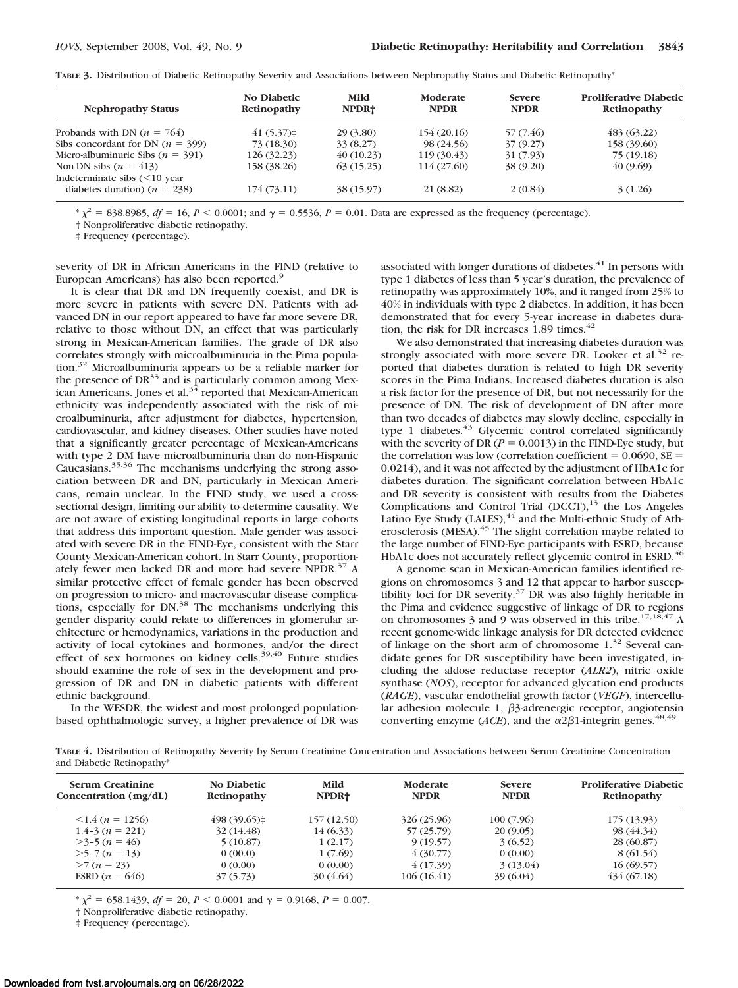|  |  | TABLE 3. Distribution of Diabetic Retinopathy Severity and Associations between Nephropathy Status and Diabetic Retinopathy* |
|--|--|------------------------------------------------------------------------------------------------------------------------------|
|--|--|------------------------------------------------------------------------------------------------------------------------------|

| <b>Nephropathy Status</b>                                          | No Diabetic<br>Retinopathy | Mild<br>NPDR <sup>+</sup> | Moderate<br><b>NPDR</b> | <b>Severe</b><br><b>NPDR</b> | <b>Proliferative Diabetic</b><br>Retinopathy |
|--------------------------------------------------------------------|----------------------------|---------------------------|-------------------------|------------------------------|----------------------------------------------|
| Probands with DN $(n = 764)$                                       | $41(5.37)$ $\ddagger$      | 29(3.80)                  | 154 (20.16)             | 57 (7.46)                    | 483(63.22)                                   |
| Sibs concordant for DN $(n = 399)$                                 | 73 (18.30)                 | 33(8.27)                  | 98 (24.56)              | 37(9.27)                     | 158 (39.60)                                  |
| Micro-albuminuric Sibs ( $n = 391$ )                               | 126(32.23)                 | 40(10.23)                 | 119(30.43)              | 31 (7.93)                    | 75 (19.18)                                   |
| Non-DN sibs $(n = 413)$                                            | 158 (38.26)                | 63(15.25)                 | 114 (27.60)             | 38 (9.20)                    | (9.69)                                       |
| Indeterminate sibs $(<10$ year<br>diabetes duration) ( $n = 238$ ) | 174(73.11)                 | 38(15.97)                 | 21 (8.82)               | 2(0.84)                      | 3(1.26)                                      |

 $*\chi^2 = 838.8985$ , *df* = 16, *P* < 0.0001; and  $\gamma = 0.5536$ , *P* = 0.01. Data are expressed as the frequency (percentage).

† Nonproliferative diabetic retinopathy.

‡ Frequency (percentage).

severity of DR in African Americans in the FIND (relative to European Americans) has also been reported.9

It is clear that DR and DN frequently coexist, and DR is more severe in patients with severe DN. Patients with advanced DN in our report appeared to have far more severe DR, relative to those without DN, an effect that was particularly strong in Mexican-American families. The grade of DR also correlates strongly with microalbuminuria in the Pima population.32 Microalbuminuria appears to be a reliable marker for the presence of  $DR<sup>33</sup>$  and is particularly common among Mexican Americans. Jones et al.<sup>34</sup> reported that Mexican-American ethnicity was independently associated with the risk of microalbuminuria, after adjustment for diabetes, hypertension, cardiovascular, and kidney diseases. Other studies have noted that a significantly greater percentage of Mexican-Americans with type 2 DM have microalbuminuria than do non-Hispanic Caucasians.35,36 The mechanisms underlying the strong association between DR and DN, particularly in Mexican Americans, remain unclear. In the FIND study, we used a crosssectional design, limiting our ability to determine causality. We are not aware of existing longitudinal reports in large cohorts that address this important question. Male gender was associated with severe DR in the FIND-Eye, consistent with the Starr County Mexican-American cohort. In Starr County, proportionately fewer men lacked DR and more had severe NPDR.<sup>37</sup> A similar protective effect of female gender has been observed on progression to micro- and macrovascular disease complications, especially for DN.<sup>38</sup> The mechanisms underlying this gender disparity could relate to differences in glomerular architecture or hemodynamics, variations in the production and activity of local cytokines and hormones, and/or the direct effect of sex hormones on kidney cells.<sup>39,40</sup> Future studies should examine the role of sex in the development and progression of DR and DN in diabetic patients with different ethnic background.

In the WESDR, the widest and most prolonged populationbased ophthalmologic survey, a higher prevalence of DR was

associated with longer durations of diabetes. $41$  In persons with type 1 diabetes of less than 5 year's duration, the prevalence of retinopathy was approximately 10%, and it ranged from 25% to 40% in individuals with type 2 diabetes. In addition, it has been demonstrated that for every 5-year increase in diabetes duration, the risk for DR increases 1.89 times. $42$ 

We also demonstrated that increasing diabetes duration was strongly associated with more severe DR. Looker et al. $32$  reported that diabetes duration is related to high DR severity scores in the Pima Indians. Increased diabetes duration is also a risk factor for the presence of DR, but not necessarily for the presence of DN. The risk of development of DN after more than two decades of diabetes may slowly decline, especially in type 1 diabetes.<sup>43</sup> Glycemic control correlated significantly with the severity of DR  $(P = 0.0013)$  in the FIND-Eye study, but the correlation was low (correlation coefficient  $= 0.0690$ , SE  $=$ 0.0214), and it was not affected by the adjustment of HbA1c for diabetes duration. The significant correlation between HbA1c and DR severity is consistent with results from the Diabetes Complications and Control Trial  $(DCCT),$ <sup>13</sup> the Los Angeles Latino Eye Study (LALES),<sup>44</sup> and the Multi-ethnic Study of Atherosclerosis (MESA).<sup>45</sup> The slight correlation maybe related to the large number of FIND-Eye participants with ESRD, because HbA1c does not accurately reflect glycemic control in ESRD.<sup>46</sup>

A genome scan in Mexican-American families identified regions on chromosomes 3 and 12 that appear to harbor susceptibility loci for DR severity.37 DR was also highly heritable in the Pima and evidence suggestive of linkage of DR to regions on chromosomes 3 and 9 was observed in this tribe.<sup>17,18,47</sup> A recent genome-wide linkage analysis for DR detected evidence of linkage on the short arm of chromosome  $1.^{32}$  Several candidate genes for DR susceptibility have been investigated, including the aldose reductase receptor (*ALR2*), nitric oxide synthase (*NOS*), receptor for advanced glycation end products (*RAGE*), vascular endothelial growth factor (*VEGF*), intercellular adhesion molecule 1,  $\beta$ 3-adrenergic receptor, angiotensin converting enzyme (*ACE*), and the  $\alpha$ 2 $\beta$ 1-integrin genes.<sup>48,49</sup>

**TABLE 4.** Distribution of Retinopathy Severity by Serum Creatinine Concentration and Associations between Serum Creatinine Concentration and Diabetic Retinopathy\*

| <b>Serum Creatinine</b><br>Concentration $(mg/dL)$ | No Diabetic<br>Retinopathy | Mild<br>NPDR <sup>+</sup> | Moderate<br><b>NPDR</b> | <b>Severe</b><br><b>NPDR</b> | <b>Proliferative Diabetic</b><br>Retinopathy |
|----------------------------------------------------|----------------------------|---------------------------|-------------------------|------------------------------|----------------------------------------------|
| $\leq$ 1.4 ( <i>n</i> = 1256)                      | $498(39.65)$ $\ddagger$    | 157(12.50)                | 326 (25.96)             | 100(7.96)                    | 175(13.93)                                   |
| $1.4 - 3(n = 221)$                                 | 32 (14.48)                 | 14(6.33)                  | 57(25.79)               | 20(9.05)                     | 98 (44.34)                                   |
| $>3-5 (n = 46)$                                    | 5(10.87)                   | 1(2.17)                   | 9(19.57)                | 3(6.52)                      | 28(60.87)                                    |
| $>5-7 (n = 13)$                                    | 0(00.0)                    | 1(7.69)                   | 4(30.77)                | 0(0.00)                      | 8 (61.54)                                    |
| $>7 (n = 23)$                                      | 0(0.00)                    | 0(0.00)                   | 4(17.39)                | 3(13.04)                     | 16(69.57)                                    |
| ESRD $(n = 646)$                                   | 37(5.73)                   | 30(4.64)                  | 106(16.41)              | 39(6.04)                     | 434(67.18)                                   |

 $\gamma^* \chi^2 = 658.1439$ , *df* = 20, *P* < 0.0001 and  $\gamma = 0.9168$ , *P* = 0.007.

† Nonproliferative diabetic retinopathy.

‡ Frequency (percentage).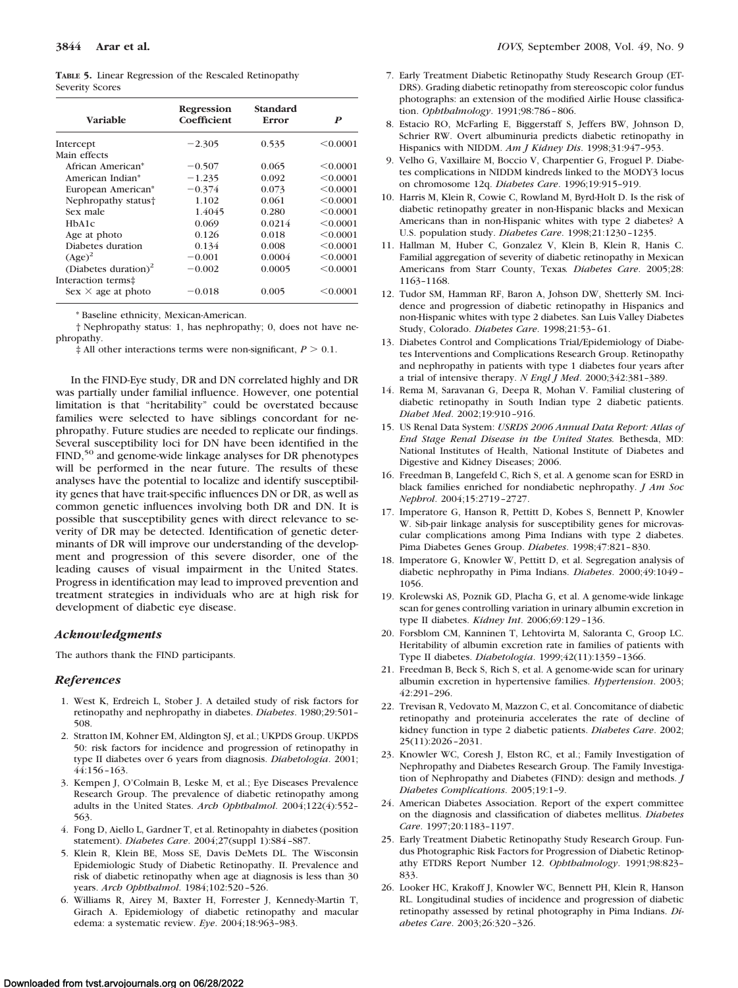|                        |  |  | <b>TABLE 5.</b> Linear Regression of the Rescaled Retinopathy |
|------------------------|--|--|---------------------------------------------------------------|
| <b>Severity Scores</b> |  |  |                                                               |

| Variable                         | Regression<br>Coefficient | Standard<br>Error | P        |
|----------------------------------|---------------------------|-------------------|----------|
| Intercept                        | $-2.305$                  | 0.535             | < 0.0001 |
| Main effects                     |                           |                   |          |
| African American*                | $-0.507$                  | 0.065             | < 0.0001 |
| American Indian*                 | $-1.235$                  | 0.092             | < 0.0001 |
| European American*               | $-0.374$                  | 0.073             | < 0.0001 |
| Nephropathy status†              | 1.102                     | 0.061             | < 0.0001 |
| Sex male                         | 1.4045                    | 0.280             | < 0.0001 |
| HbA1c                            | 0.069                     | 0.0214            | < 0.0001 |
| Age at photo                     | 0.126                     | 0.018             | < 0.0001 |
| Diabetes duration                | 0.134                     | 0.008             | < 0.0001 |
| $(Age)^2$                        | $-0.001$                  | 0.0004            | < 0.0001 |
| (Diabetes duration) <sup>2</sup> | $-0.002$                  | 0.0005            | < 0.0001 |
| Interaction terms‡               |                           |                   |          |
| $Sex \times age$ at photo        | $-0.018$                  | 0.005             | < 0.0001 |

\* Baseline ethnicity, Mexican-American.

† Nephropathy status: 1, has nephropathy; 0, does not have nephropathy.

 $\ddagger$  All other interactions terms were non-significant,  $P > 0.1$ .

In the FIND-Eye study, DR and DN correlated highly and DR was partially under familial influence. However, one potential limitation is that "heritability" could be overstated because families were selected to have siblings concordant for nephropathy. Future studies are needed to replicate our findings. Several susceptibility loci for DN have been identified in the FIND,<sup>50</sup> and genome-wide linkage analyses for DR phenotypes will be performed in the near future. The results of these analyses have the potential to localize and identify susceptibility genes that have trait-specific influences DN or DR, as well as common genetic influences involving both DR and DN. It is possible that susceptibility genes with direct relevance to severity of DR may be detected. Identification of genetic determinants of DR will improve our understanding of the development and progression of this severe disorder, one of the leading causes of visual impairment in the United States. Progress in identification may lead to improved prevention and treatment strategies in individuals who are at high risk for development of diabetic eye disease.

### *Acknowledgments*

The authors thank the FIND participants.

#### *References*

- 1. West K, Erdreich L, Stober J. A detailed study of risk factors for retinopathy and nephropathy in diabetes. *Diabetes*. 1980;29:501– 508.
- 2. Stratton IM, Kohner EM, Aldington SJ, et al.; UKPDS Group. UKPDS 50: risk factors for incidence and progression of retinopathy in type II diabetes over 6 years from diagnosis. *Diabetologia*. 2001; 44:156 –163.
- 3. Kempen J, O'Colmain B, Leske M, et al.; Eye Diseases Prevalence Research Group. The prevalence of diabetic retinopathy among adults in the United States. *Arch Ophthalmol*. 2004;122(4):552– 563.
- 4. Fong D, Aiello L, Gardner T, et al. Retinopahty in diabetes (position statement). *Diabetes Care*. 2004;27(suppl 1):S84 –S87.
- 5. Klein R, Klein BE, Moss SE, Davis DeMets DL. The Wisconsin Epidemiologic Study of Diabetic Retinopathy. II. Prevalence and risk of diabetic retinopathy when age at diagnosis is less than 30 years. *Arch Ophthalmol*. 1984;102:520 –526.
- 6. Williams R, Airey M, Baxter H, Forrester J, Kennedy-Martin T, Girach A. Epidemiology of diabetic retinopathy and macular edema: a systematic review. *Eye*. 2004;18:963–983.
- 7. Early Treatment Diabetic Retinopathy Study Research Group (ET-DRS). Grading diabetic retinopathy from stereoscopic color fundus photographs: an extension of the modified Airlie House classification. *Ophthalmology*. 1991;98:786 – 806.
- 8. Estacio RO, McFarling E, Biggerstaff S, Jeffers BW, Johnson D, Schrier RW. Overt albuminuria predicts diabetic retinopathy in Hispanics with NIDDM. *Am J Kidney Dis*. 1998;31:947–953.
- 9. Velho G, Vaxillaire M, Boccio V, Charpentier G, Froguel P. Diabetes complications in NIDDM kindreds linked to the MODY3 locus on chromosome 12q. *Diabetes Care*. 1996;19:915–919.
- 10. Harris M, Klein R, Cowie C, Rowland M, Byrd-Holt D. Is the risk of diabetic retinopathy greater in non-Hispanic blacks and Mexican Americans than in non-Hispanic whites with type 2 diabetes? A U.S. population study. *Diabetes Care*. 1998;21:1230 –1235.
- 11. Hallman M, Huber C, Gonzalez V, Klein B, Klein R, Hanis C. Familial aggregation of severity of diabetic retinopathy in Mexican Americans from Starr County, Texas*. Diabetes Care*. 2005;28: 1163–1168.
- 12. Tudor SM, Hamman RF, Baron A, Johson DW, Shetterly SM. Incidence and progression of diabetic retinopathy in Hispanics and non-Hispanic whites with type 2 diabetes. San Luis Valley Diabetes Study, Colorado. *Diabetes Care*. 1998;21:53– 61.
- 13. Diabetes Control and Complications Trial/Epidemiology of Diabetes Interventions and Complications Research Group. Retinopathy and nephropathy in patients with type 1 diabetes four years after a trial of intensive therapy. *N Engl J Med*. 2000;342:381–389.
- 14. Rema M, Saravanan G, Deepa R, Mohan V. Familial clustering of diabetic retinopathy in South Indian type 2 diabetic patients. *Diabet Med*. 2002;19:910 –916.
- 15. US Renal Data System: *USRDS 2006 Annual Data Report: Atlas of End Stage Renal Disease in the United States.* Bethesda, MD: National Institutes of Health, National Institute of Diabetes and Digestive and Kidney Diseases; 2006.
- 16. Freedman B, Langefeld C, Rich S, et al. A genome scan for ESRD in black families enriched for nondiabetic nephropathy. *J Am Soc Nephrol*. 2004;15:2719 –2727.
- 17. Imperatore G, Hanson R, Pettitt D, Kobes S, Bennett P, Knowler W. Sib-pair linkage analysis for susceptibility genes for microvascular complications among Pima Indians with type 2 diabetes. Pima Diabetes Genes Group. *Diabetes*. 1998;47:821– 830.
- 18. Imperatore G, Knowler W, Pettitt D, et al. Segregation analysis of diabetic nephropathy in Pima Indians. *Diabetes*. 2000;49:1049 – 1056.
- 19. Krolewski AS, Poznik GD, Placha G, et al. A genome-wide linkage scan for genes controlling variation in urinary albumin excretion in type II diabetes. *Kidney Int*. 2006;69:129 –136.
- 20. Forsblom CM, Kanninen T, Lehtovirta M, Saloranta C, Groop LC. Heritability of albumin excretion rate in families of patients with Type II diabetes. *Diabetologia*. 1999;42(11):1359 –1366.
- 21. Freedman B, Beck S, Rich S, et al. A genome-wide scan for urinary albumin excretion in hypertensive families. *Hypertension*. 2003; 42:291–296.
- 22. Trevisan R, Vedovato M, Mazzon C, et al. Concomitance of diabetic retinopathy and proteinuria accelerates the rate of decline of kidney function in type 2 diabetic patients. *Diabetes Care*. 2002; 25(11):2026 –2031.
- 23. Knowler WC, Coresh J, Elston RC, et al.; Family Investigation of Nephropathy and Diabetes Research Group. The Family Investigation of Nephropathy and Diabetes (FIND): design and methods. *J Diabetes Complications*. 2005;19:1–9.
- 24. American Diabetes Association. Report of the expert committee on the diagnosis and classification of diabetes mellitus. *Diabetes Care*. 1997;20:1183–1197.
- 25. Early Treatment Diabetic Retinopathy Study Research Group. Fundus Photographic Risk Factors for Progression of Diabetic Retinopathy ETDRS Report Number 12. *Ophthalmology*. 1991;98:823– 833.
- 26. Looker HC, Krakoff J, Knowler WC, Bennett PH, Klein R, Hanson RL. Longitudinal studies of incidence and progression of diabetic retinopathy assessed by retinal photography in Pima Indians. *Diabetes Care*. 2003;26:320 –326.